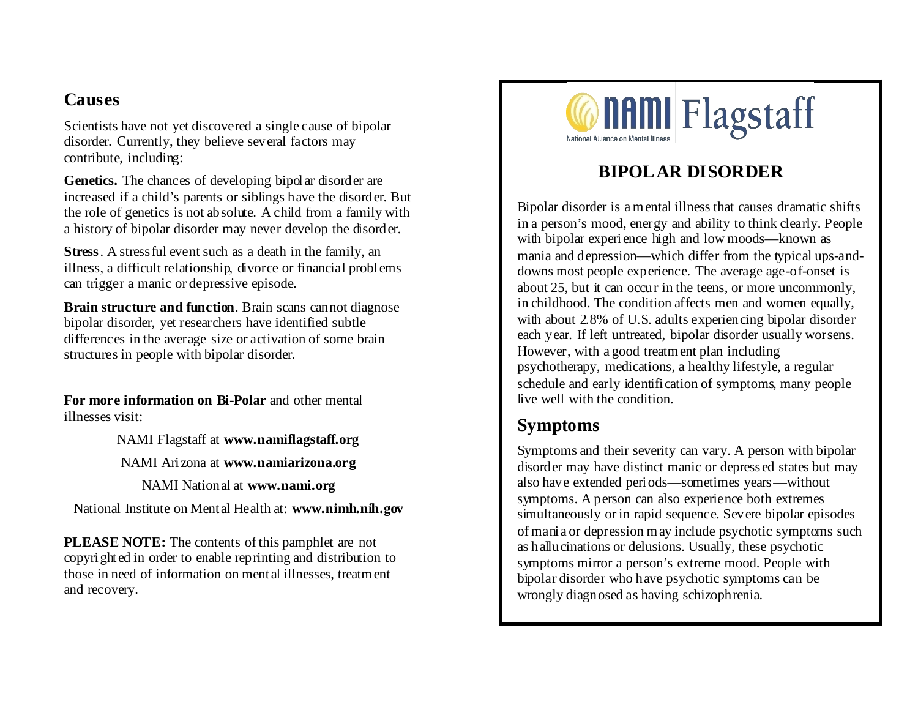### **Causes**

Scientists have not yet discovered a single cause of bipolar disorder. Currently, they believe several factors may contribute, including:

**Genetics.** The chances of developing bipolar disorder are increased if a child's parents or siblings have the disorder. But the role of genetics is not absolute. A child from a family with a history of bipolar disorder may never develop the disorder.

**Stress**. A stressful event such as a death in the family, an illness, a difficult relationship, divorce or financial problems can trigger a manic or depressive episode.

**Brain structure and function**. Brain scans cannot diagnose bipolar disorder, yet researchers have identified subtle differences in the average size or activation of some brain structures in people with bipolar disorder.

**For more information on Bi**-**Polar** and other mental illnesses visit:

NAMI Flagstaff at **www.namiflagstaff.org**

NAMI Arizona at **www.namiarizona.org**

NAMI National at **www.nami.org**

National Institute on Mental Health at: **www.nimh.nih.gov**

**PLEASE NOTE:** The contents of this pamphlet are not copyrighted in order to enable reprinting and distribution to those in need of information on mental illnesses, treatment and recovery.



# **BIPOLAR DISORDER**

Bipolar disorder is a mental illness that causes dramatic shifts in a person's mood, energy and ability to think clearly. People with bipolar experience high and low moods—known as mania and depression—which differ from the typical ups-anddowns most people experience. The average age-of-onset is about 25, but it can occur in the teens, or more uncommonly, in childhood. The condition affects men and women equally, with about 2.8% of U.S. adults experiencing bipolar disorder each year. If left untreated, bipolar disorder usually worsens. However, with a good treatment plan including psychotherapy, medications, a healthy lifestyle, a regular schedule and early identification of symptoms, many people live well with the condition.

## **Symptoms**

Symptoms and their severity can vary. A person with bipolar disorder may have distinct manic or depressed states but may also have extended periods—sometimes years—without symptoms. A person can also experience both extremes simultaneously or in rapid sequence. Severe bipolar episodes of mania or depression may include psychotic symptoms such as hallucinations or delusions. Usually, these psychotic symptoms mirror a person's extreme mood. People with bipolar disorder who have psychotic symptoms can be wrongly diagnosed as having schizophrenia.